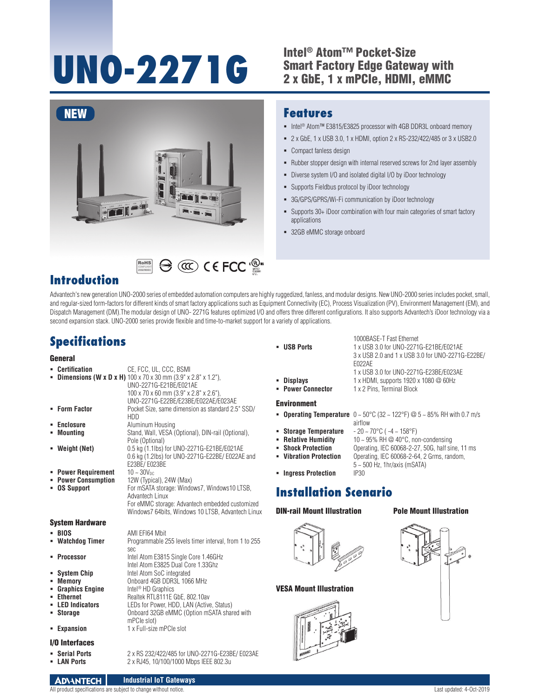# UNO-2271G<br>
<sup>2</sup> Intel® Atom™ Pocket-Size<br>
<sup>2</sup> x GbE. 1 x mPCle. HDMI.

## Smart Factory Edge Gateway with 2 x GbE, 1 x mPCIe, HDMI, eMMC



RoHS **COMPLIANT** 2002/95/EC

#### **Features**

- Intel<sup>®</sup> Atom™ E3815/E3825 processor with 4GB DDR3L onboard memory
- 2 x GbE, 1 x USB 3.0, 1 x HDMI, option 2 x RS-232/422/485 or 3 x USB2.0
- Compact fanless design
- Rubber stopper design with internal reserved screws for 2nd layer assembly
- Diverse system I/O and isolated digital I/O by iDoor technology
- Supports Fieldbus protocol by iDoor technology
- 3G/GPS/GPRS/Wi-Fi communication by iDoor technology
- Supports 30+ iDoor combination with four main categories of smart factory applications
- 32GB eMMC storage onboard

## **Introduction**

Advantech's new generation UNO-2000 series of embedded automation computers are highly ruggedized, fanless, and modular designs. New UNO-2000 series includes pocket, small, and regular-sized form-factors for different kinds of smart factory applications such as Equipment Connectivity (EC), Process Visualization (PV), Environment Management (EM), and Dispatch Management (DM).The modular design of UNO- 2271G features optimized I/O and offers three different configurations. It also supports Advantech's iDoor technology via a second expansion stack. UNO-2000 series provide flexible and time-to-market support for a variety of applications.

## **Specifications**

#### **General**

| ٠  | Certification                  | CE, FCC, UL, CCC, BSMI                                                                        |
|----|--------------------------------|-----------------------------------------------------------------------------------------------|
|    |                                | <b>Dimensions (W x D x H)</b> $100 \times 70 \times 30$ mm $(3.9" \times 2.8" \times 1.2")$ , |
|    |                                | UNO-2271G-E21BE/E021AE                                                                        |
|    |                                | $100 \times 70 \times 60$ mm $(3.9" \times 2.8" \times 2.6")$ ,                               |
|    |                                | UNO-2271G-E22BE/E23BE/E022AE/E023AE                                                           |
| ٠  | <b>Form Factor</b>             | Pocket Size, same dimension as standard 2.5" SSD/                                             |
|    |                                | HDD                                                                                           |
| ٠  | <b>Enclosure</b>               | Aluminum Housing                                                                              |
|    | <b>Mountina</b>                | Stand, Wall, VESA (Optional), DIN-rail (Optional),                                            |
|    |                                | Pole (Optional)                                                                               |
|    | Weight (Net)                   | 0.5 kg (1.1lbs) for UNO-2271G-E21BE/E021AE                                                    |
|    |                                | 0.6 kg (1.2lbs) for UNO-2271G-E22BE/E022AE and                                                |
|    |                                | E23BE/E023BE                                                                                  |
|    | • Power Requirement            | $10 - 30V_{nc}$                                                                               |
|    | • Power Consumption            | 12W (Typical), 24W (Max)                                                                      |
|    | <b>OS Support</b>              | For mSATA storage: Windows7, Windows10 LTSB,                                                  |
|    |                                | Advantech Linux                                                                               |
|    |                                | For eMMC storage: Advantech embedded customized                                               |
|    |                                | Windows7 64bits, Windows 10 LTSB, Advantech Linux                                             |
|    |                                |                                                                                               |
|    |                                |                                                                                               |
|    | <b>System Hardware</b>         |                                                                                               |
|    | <b>BIOS</b>                    | AMI EFI64 Mbit                                                                                |
| ٠  |                                | Programmable 255 levels timer interval, from 1 to 255                                         |
|    | <b>Watchdog Timer</b>          | sec                                                                                           |
|    | <b>Processor</b>               | Intel Atom E3815 Single Core 1.46GHz                                                          |
|    |                                | Intel Atom E3825 Dual Core 1.33Ghz                                                            |
|    |                                | Intel Atom SoC integrated                                                                     |
| п. | • System Chip<br><b>Memory</b> | Onboard 4GB DDR3L 1066 MHz                                                                    |
|    | • Graphics Engine              | Intel <sup>®</sup> HD Graphics                                                                |
|    | <b>Ethernet</b>                | Realtek RTL8111E GbE, 802.10av                                                                |
|    | <b>LED Indicators</b>          | LEDs for Power, HDD, LAN (Active, Status)                                                     |
| ٠  | <b>Storage</b>                 | Onboard 32GB eMMC (Option mSATA shared with                                                   |
|    |                                |                                                                                               |
|    | <b>Expansion</b>               | mPCle slot)<br>1 x Full-size mPCle slot                                                       |

**LAN Ports** 2 x RJ45, 10/100/1000 Mbps IEEE 802.3u

#### I/O Interfaces

- **Serial Ports** 2 x RS 232/422/485 for UNO-2271G-E23BE/ E023AE<br>**E LAN Ports** 2 x R.145 10/100/1000 Mbos IFFF 802 3u
- 

1000BASE-T Fast Ethernet **USB Ports** 1 x USB 3.0 for UNO-2271G-E21BE/E021AE 3 x USB 2.0 and 1 x USB 3.0 for UNO-2271G-E22BE/ E022AE 1 x USB 3.0 for UNO-2271G-E23BE/E023AE

**Shock Protection** Operating, IEC 60068-2-27, 50G, half sine, 11 ms

- **Displays** 1 x HDMI, supports 1920 x 1080 @ 60Hz
- **Power Connector** 1 x 2 Pins, Terminal Block

#### Environment

**- Operating Temperature**  $0 \sim 50^{\circ}$ C (32  $\sim$  122°F) @  $5 \sim 85\%$  RH with 0.7 m/s airflow<br>- 20 ~ 70°C (-4 ~ 158°F)

5 ~ 500 Hz, 1hr/axis (mSATA)

- **Storage Temperature**
- **Relative Humidity** 10 ~ 95% RH @ 40°C, non-condensing<br>**Block Protection** Cherating JFC 60068-2-27 50G half sit
- 
- **Vibration Protection** Operating, IEC 60068-2-64, 2 Grms, random,
- **Ingress Protection**

### **Installation Scenario**

#### DIN-rail Mount Illustration



#### VESA Mount Illustration



#### Pole Mount Illustration

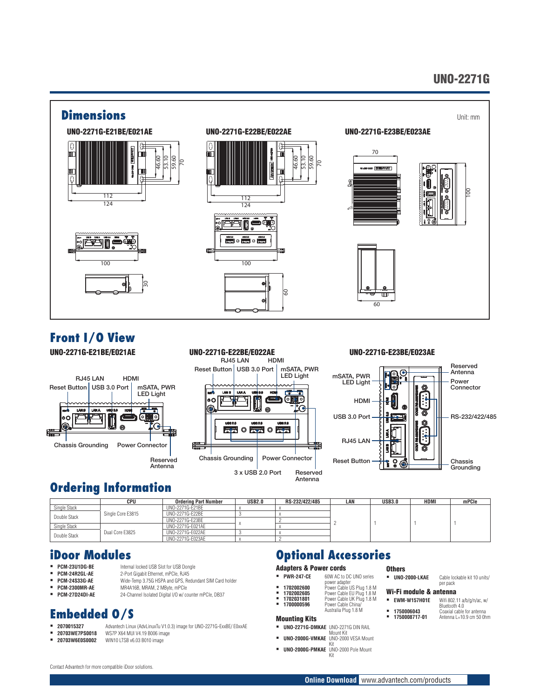## UNO-2271G



## **Front I/O View**

UNO-2271G-E21BE/E021AE





#### UNO-2271G-E23BE/E023AE



## **Ordering Information**

|              | CPU               | <b>Ordering Part Number</b> | <b>USB2.0</b> | RS-232/422/485 | LAN | <b>USB3.0</b> | <b>HDMI</b> | mPCle |
|--------------|-------------------|-----------------------------|---------------|----------------|-----|---------------|-------------|-------|
| Single Stack |                   | UNO-2271G-F21BF             |               |                |     |               |             |       |
| Double Stack | Single Core E3815 | UNO-2271G-E22BE             |               |                |     |               |             |       |
|              |                   | UNO-2271G-E23BE             |               |                |     |               |             |       |
| Single Stack |                   | UNO-2271G-E021AE            |               |                |     |               |             |       |
| Double Stack | Dual Core E3825   | UNO-2271G-F022AF            |               |                |     |               |             |       |
|              |                   | UNO-2271G-E023AE            |               |                |     |               |             |       |

## **iDoor Modules**

- **PCM-23U1DG-BE** Internal locked USB Slot for USB Dongle
- 
- **PCM-24R2GL-AE** 2-Port Gigabit Ethernet, mPCIe, RJ45 **PCM-24S33G-AE** Wide-Temp 3.75G HSPA and GPS, Redundant SIM Card holder<br>**PCM-2300MB-AF** MRAA16R MRAM 2 MBvte mPCle
- **PCM-2300MR-AE** MR4A16B, MRAM, 2 MByte, mPCIe<br>**PCM-27D24DI-AF** 24-Channel Isolated Digital I/O w/ co
- 

## **Embedded O/S**

- 
- 2070015327 Advantech Linux (AdvLinuxTu V1.0.3) image for UNO-2271G-ExxBE/ E0xxAE<br>**20703WE7PS0018** WS7P X64 MUI V4.19 B006 image **20703WE7PS0018** WS7P X64 MUI V4.19 B006 image

24-Channel Isolated Digital I/O w/ counter mPCIe, DB37

WIN10 LTSB v6.03 B010 image

## **Optional Accessories Others**<br>• UNO-2000-LKAE

- 
- power adapter
- **1702002600** Power Cable US Plug 1.8 M **1702002605** Power Cable EU Plug 1.8 M **1702031801** Power Cable UK Plug 1.8 M
- **1700000596** Power Cable China/ Australia Plug 1.8 M

#### Mounting Kits

- **UNO-2271G-DMKAE** UNO-2271G DIN RAIL
- Mount Kit **UNO-2000G-VMKAE** UNO-2000 VESA Mount Kit
- **UNO-2000G-PMKAE** UNO-2000 Pole Mount Kit

## Wi-Fi module & antenna<br>• EWM-W157H01E Wifi 802.1

- Wifi 802.11 a/b/g/n/ac, w/ Bluetooth 4.0 **1750006043** Coaxial cable for antenna **1750008717-01** Antenna L=10.9 cm 50 0hm
- 

#### **Online Download** www.advantech.com/products

Reserved Antenna

> Adapters & Power cords **PWR-247-CE** 60W AC to DC UNO series